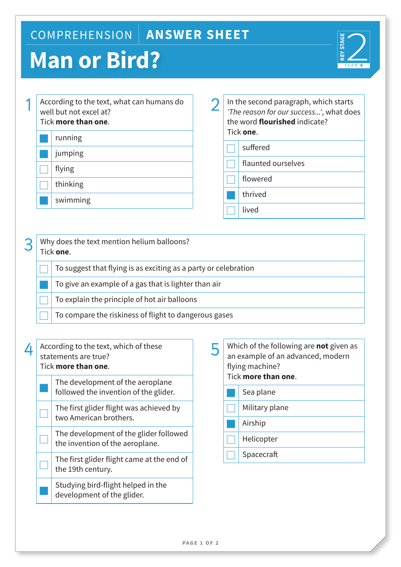## COMPREHENSION **ANSWER SHEET**

# **Man or Bird?**



|  | According to the text, what can humans do<br>well but not excel at?<br>Tick <b>more than one</b> . |  |  |
|--|----------------------------------------------------------------------------------------------------|--|--|
|  | running                                                                                            |  |  |
|  | jumping                                                                                            |  |  |
|  | flying                                                                                             |  |  |
|  | thinking                                                                                           |  |  |
|  | swimming                                                                                           |  |  |
|  |                                                                                                    |  |  |

2 In the second paragraph, which starts<br> *The reason for our success...'*, what does the word **flourished** indicate? Tick **one**.

- suffered
- flaunted ourselves
- flowered
- thrived
- 
- **lived**

### 3 Why does the text mention helium balloons? Tick **one**. £ To suggest that flying is as exciting as a party or celebration To give an example of a gas that is lighter than air To explain the principle of hot air balloons £ To compare the riskiness of flight to dangerous gases

| 4 | According to the text, which of these<br>statements are true?<br>Tick more than one. |                                                                           |  |
|---|--------------------------------------------------------------------------------------|---------------------------------------------------------------------------|--|
|   |                                                                                      | The development of the aeroplane<br>followed the invention of the glider. |  |
|   |                                                                                      | The first glider flight was achieved h                                    |  |

£ The first glider flight was achieved by two American brothers.

The development of the glider followed the invention of the aeroplane.

The first glider flight came at the end of the 19th century.

Studying bird-flight helped in the development of the glider.

| $\overline{5}$ | Which of the following are <b>not</b> given as<br>an example of an advanced, modern<br>flying machine?<br>Tick more than one. |                |  |
|----------------|-------------------------------------------------------------------------------------------------------------------------------|----------------|--|
|                |                                                                                                                               | Sea plane      |  |
|                |                                                                                                                               | Military plane |  |
|                |                                                                                                                               | Airship        |  |
|                |                                                                                                                               | Helicopter     |  |
|                |                                                                                                                               | Spacecraft     |  |